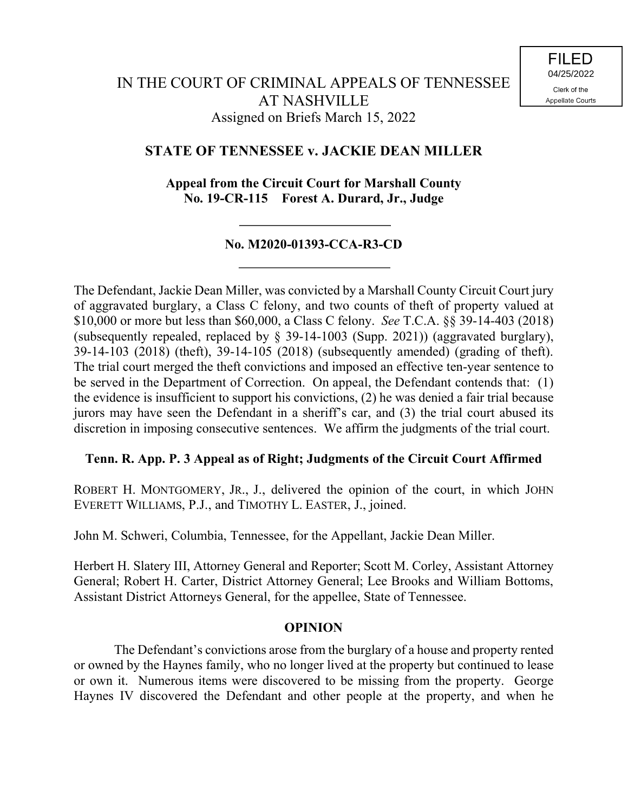# **STATE OF TENNESSEE v. JACKIE DEAN MILLER**

**Appeal from the Circuit Court for Marshall County No. 19-CR-115 Forest A. Durard, Jr., Judge**

## **No. M2020-01393-CCA-R3-CD**

The Defendant, Jackie Dean Miller, was convicted by a Marshall County Circuit Court jury of aggravated burglary, a Class C felony, and two counts of theft of property valued at \$10,000 or more but less than \$60,000, a Class C felony. *See* T.C.A. §§ 39-14-403 (2018) (subsequently repealed, replaced by § 39-14-1003 (Supp. 2021)) (aggravated burglary), 39-14-103 (2018) (theft), 39-14-105 (2018) (subsequently amended) (grading of theft). The trial court merged the theft convictions and imposed an effective ten-year sentence to be served in the Department of Correction. On appeal, the Defendant contends that: (1) the evidence is insufficient to support his convictions, (2) he was denied a fair trial because jurors may have seen the Defendant in a sheriff's car, and (3) the trial court abused its discretion in imposing consecutive sentences. We affirm the judgments of the trial court.

## **Tenn. R. App. P. 3 Appeal as of Right; Judgments of the Circuit Court Affirmed**

ROBERT H. MONTGOMERY, JR., J., delivered the opinion of the court, in which JOHN EVERETT WILLIAMS, P.J., and TIMOTHY L. EASTER, J., joined.

John M. Schweri, Columbia, Tennessee, for the Appellant, Jackie Dean Miller.

Herbert H. Slatery III, Attorney General and Reporter; Scott M. Corley, Assistant Attorney General; Robert H. Carter, District Attorney General; Lee Brooks and William Bottoms, Assistant District Attorneys General, for the appellee, State of Tennessee.

### **OPINION**

The Defendant's convictions arose from the burglary of a house and property rented or owned by the Haynes family, who no longer lived at the property but continued to lease or own it. Numerous items were discovered to be missing from the property. George Haynes IV discovered the Defendant and other people at the property, and when he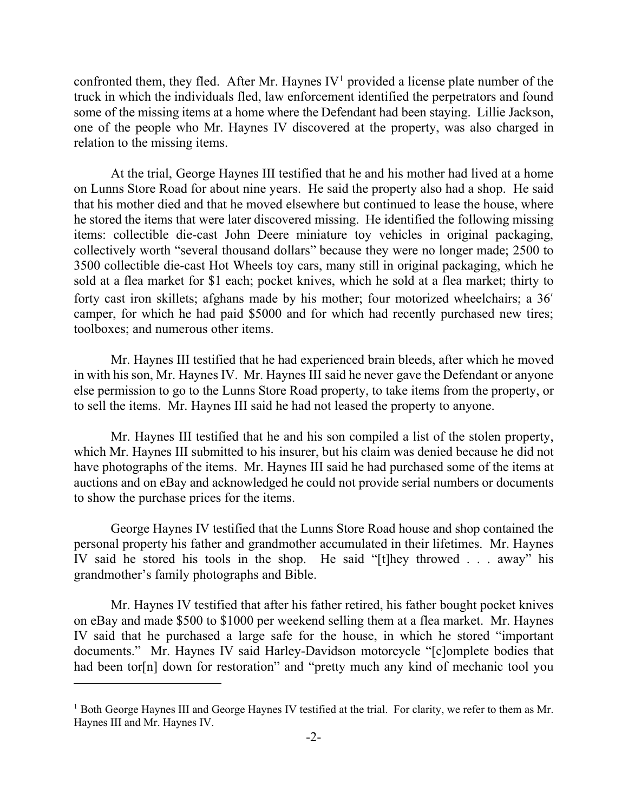confronted them, they fled. After Mr. Haynes  $IV<sup>1</sup>$  provided a license plate number of the truck in which the individuals fled, law enforcement identified the perpetrators and found some of the missing items at a home where the Defendant had been staying. Lillie Jackson, one of the people who Mr. Haynes IV discovered at the property, was also charged in relation to the missing items.

At the trial, George Haynes III testified that he and his mother had lived at a home on Lunns Store Road for about nine years. He said the property also had a shop. He said that his mother died and that he moved elsewhere but continued to lease the house, where he stored the items that were later discovered missing. He identified the following missing items: collectible die-cast John Deere miniature toy vehicles in original packaging, collectively worth "several thousand dollars" because they were no longer made; 2500 to 3500 collectible die-cast Hot Wheels toy cars, many still in original packaging, which he sold at a flea market for \$1 each; pocket knives, which he sold at a flea market; thirty to forty cast iron skillets; afghans made by his mother; four motorized wheelchairs; a 36′ camper, for which he had paid \$5000 and for which had recently purchased new tires; toolboxes; and numerous other items.

Mr. Haynes III testified that he had experienced brain bleeds, after which he moved in with his son, Mr. Haynes IV. Mr. Haynes III said he never gave the Defendant or anyone else permission to go to the Lunns Store Road property, to take items from the property, or to sell the items. Mr. Haynes III said he had not leased the property to anyone.

Mr. Haynes III testified that he and his son compiled a list of the stolen property, which Mr. Haynes III submitted to his insurer, but his claim was denied because he did not have photographs of the items. Mr. Haynes III said he had purchased some of the items at auctions and on eBay and acknowledged he could not provide serial numbers or documents to show the purchase prices for the items.

George Haynes IV testified that the Lunns Store Road house and shop contained the personal property his father and grandmother accumulated in their lifetimes. Mr. Haynes IV said he stored his tools in the shop. He said "[t]hey throwed . . . away" his grandmother's family photographs and Bible.

Mr. Haynes IV testified that after his father retired, his father bought pocket knives on eBay and made \$500 to \$1000 per weekend selling them at a flea market. Mr. Haynes IV said that he purchased a large safe for the house, in which he stored "important documents." Mr. Haynes IV said Harley-Davidson motorcycle "[c]omplete bodies that had been tor[n] down for restoration" and "pretty much any kind of mechanic tool you

 $\overline{a}$ 

<sup>&</sup>lt;sup>1</sup> Both George Haynes III and George Haynes IV testified at the trial. For clarity, we refer to them as Mr. Haynes III and Mr. Haynes IV.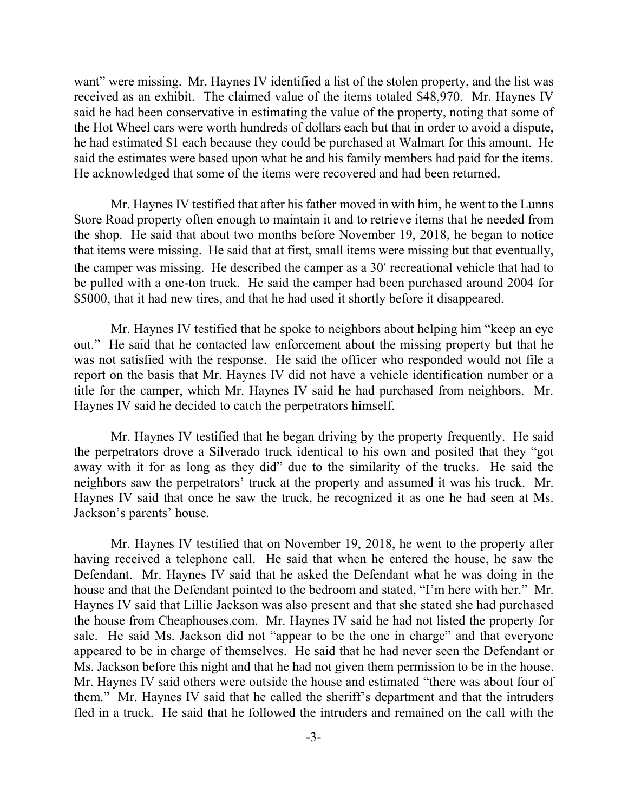want" were missing. Mr. Haynes IV identified a list of the stolen property, and the list was received as an exhibit. The claimed value of the items totaled \$48,970. Mr. Haynes IV said he had been conservative in estimating the value of the property, noting that some of the Hot Wheel cars were worth hundreds of dollars each but that in order to avoid a dispute, he had estimated \$1 each because they could be purchased at Walmart for this amount. He said the estimates were based upon what he and his family members had paid for the items. He acknowledged that some of the items were recovered and had been returned.

Mr. Haynes IV testified that after his father moved in with him, he went to the Lunns Store Road property often enough to maintain it and to retrieve items that he needed from the shop. He said that about two months before November 19, 2018, he began to notice that items were missing. He said that at first, small items were missing but that eventually, the camper was missing. He described the camper as a 30′ recreational vehicle that had to be pulled with a one-ton truck. He said the camper had been purchased around 2004 for \$5000, that it had new tires, and that he had used it shortly before it disappeared.

Mr. Haynes IV testified that he spoke to neighbors about helping him "keep an eye out." He said that he contacted law enforcement about the missing property but that he was not satisfied with the response. He said the officer who responded would not file a report on the basis that Mr. Haynes IV did not have a vehicle identification number or a title for the camper, which Mr. Haynes IV said he had purchased from neighbors. Mr. Haynes IV said he decided to catch the perpetrators himself.

Mr. Haynes IV testified that he began driving by the property frequently. He said the perpetrators drove a Silverado truck identical to his own and posited that they "got away with it for as long as they did" due to the similarity of the trucks. He said the neighbors saw the perpetrators' truck at the property and assumed it was his truck. Mr. Haynes IV said that once he saw the truck, he recognized it as one he had seen at Ms. Jackson's parents' house.

Mr. Haynes IV testified that on November 19, 2018, he went to the property after having received a telephone call. He said that when he entered the house, he saw the Defendant. Mr. Haynes IV said that he asked the Defendant what he was doing in the house and that the Defendant pointed to the bedroom and stated, "I'm here with her." Mr. Haynes IV said that Lillie Jackson was also present and that she stated she had purchased the house from Cheaphouses.com. Mr. Haynes IV said he had not listed the property for sale. He said Ms. Jackson did not "appear to be the one in charge" and that everyone appeared to be in charge of themselves. He said that he had never seen the Defendant or Ms. Jackson before this night and that he had not given them permission to be in the house. Mr. Haynes IV said others were outside the house and estimated "there was about four of them." Mr. Haynes IV said that he called the sheriff's department and that the intruders fled in a truck. He said that he followed the intruders and remained on the call with the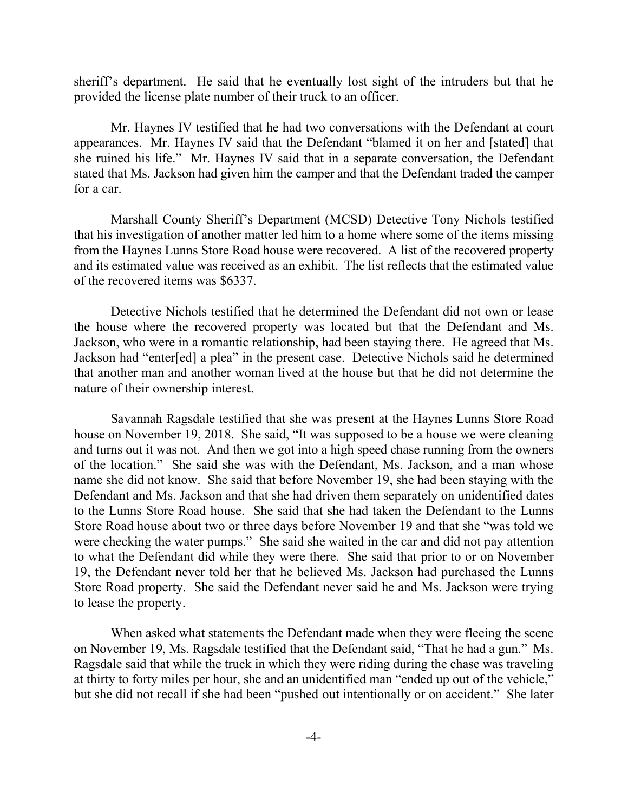sheriff's department. He said that he eventually lost sight of the intruders but that he provided the license plate number of their truck to an officer.

Mr. Haynes IV testified that he had two conversations with the Defendant at court appearances. Mr. Haynes IV said that the Defendant "blamed it on her and [stated] that she ruined his life." Mr. Haynes IV said that in a separate conversation, the Defendant stated that Ms. Jackson had given him the camper and that the Defendant traded the camper for a car.

Marshall County Sheriff's Department (MCSD) Detective Tony Nichols testified that his investigation of another matter led him to a home where some of the items missing from the Haynes Lunns Store Road house were recovered. A list of the recovered property and its estimated value was received as an exhibit. The list reflects that the estimated value of the recovered items was \$6337.

Detective Nichols testified that he determined the Defendant did not own or lease the house where the recovered property was located but that the Defendant and Ms. Jackson, who were in a romantic relationship, had been staying there. He agreed that Ms. Jackson had "enter[ed] a plea" in the present case. Detective Nichols said he determined that another man and another woman lived at the house but that he did not determine the nature of their ownership interest.

Savannah Ragsdale testified that she was present at the Haynes Lunns Store Road house on November 19, 2018. She said, "It was supposed to be a house we were cleaning and turns out it was not. And then we got into a high speed chase running from the owners of the location." She said she was with the Defendant, Ms. Jackson, and a man whose name she did not know. She said that before November 19, she had been staying with the Defendant and Ms. Jackson and that she had driven them separately on unidentified dates to the Lunns Store Road house. She said that she had taken the Defendant to the Lunns Store Road house about two or three days before November 19 and that she "was told we were checking the water pumps." She said she waited in the car and did not pay attention to what the Defendant did while they were there. She said that prior to or on November 19, the Defendant never told her that he believed Ms. Jackson had purchased the Lunns Store Road property. She said the Defendant never said he and Ms. Jackson were trying to lease the property.

When asked what statements the Defendant made when they were fleeing the scene on November 19, Ms. Ragsdale testified that the Defendant said, "That he had a gun." Ms. Ragsdale said that while the truck in which they were riding during the chase was traveling at thirty to forty miles per hour, she and an unidentified man "ended up out of the vehicle," but she did not recall if she had been "pushed out intentionally or on accident." She later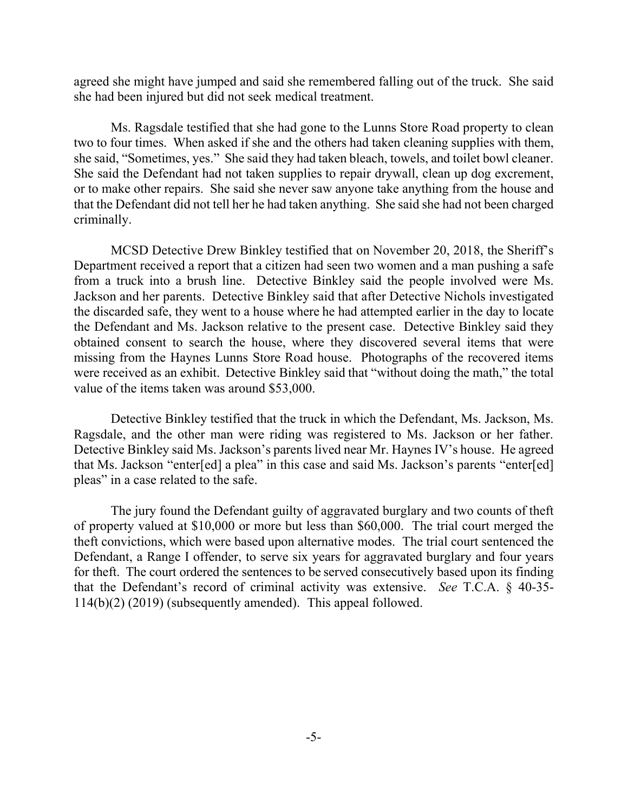agreed she might have jumped and said she remembered falling out of the truck. She said she had been injured but did not seek medical treatment.

Ms. Ragsdale testified that she had gone to the Lunns Store Road property to clean two to four times. When asked if she and the others had taken cleaning supplies with them, she said, "Sometimes, yes." She said they had taken bleach, towels, and toilet bowl cleaner. She said the Defendant had not taken supplies to repair drywall, clean up dog excrement, or to make other repairs. She said she never saw anyone take anything from the house and that the Defendant did not tell her he had taken anything. She said she had not been charged criminally.

MCSD Detective Drew Binkley testified that on November 20, 2018, the Sheriff's Department received a report that a citizen had seen two women and a man pushing a safe from a truck into a brush line. Detective Binkley said the people involved were Ms. Jackson and her parents. Detective Binkley said that after Detective Nichols investigated the discarded safe, they went to a house where he had attempted earlier in the day to locate the Defendant and Ms. Jackson relative to the present case. Detective Binkley said they obtained consent to search the house, where they discovered several items that were missing from the Haynes Lunns Store Road house. Photographs of the recovered items were received as an exhibit. Detective Binkley said that "without doing the math," the total value of the items taken was around \$53,000.

Detective Binkley testified that the truck in which the Defendant, Ms. Jackson, Ms. Ragsdale, and the other man were riding was registered to Ms. Jackson or her father. Detective Binkley said Ms. Jackson's parents lived near Mr. Haynes IV's house. He agreed that Ms. Jackson "enter[ed] a plea" in this case and said Ms. Jackson's parents "enter[ed] pleas" in a case related to the safe.

The jury found the Defendant guilty of aggravated burglary and two counts of theft of property valued at \$10,000 or more but less than \$60,000. The trial court merged the theft convictions, which were based upon alternative modes. The trial court sentenced the Defendant, a Range I offender, to serve six years for aggravated burglary and four years for theft. The court ordered the sentences to be served consecutively based upon its finding that the Defendant's record of criminal activity was extensive. *See* T.C.A. § 40-35- 114(b)(2) (2019) (subsequently amended). This appeal followed.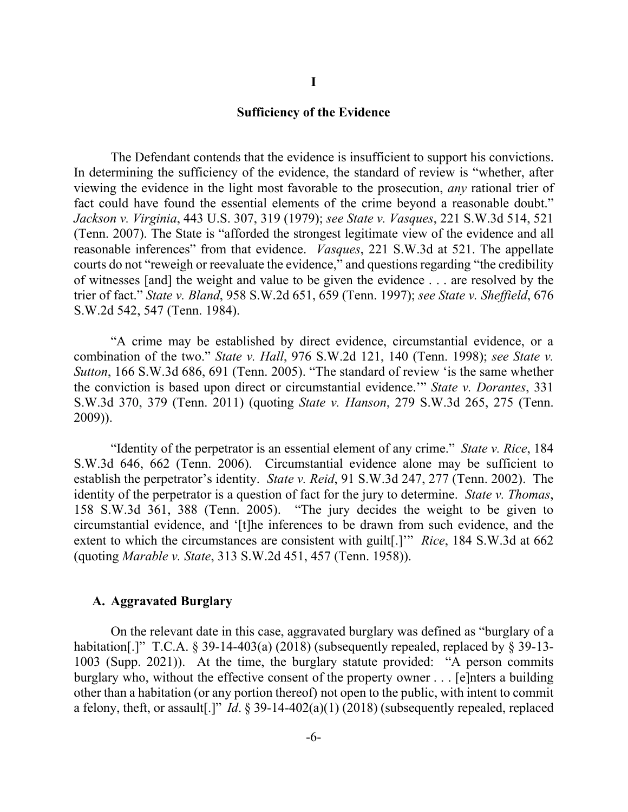#### **Sufficiency of the Evidence**

**I**

The Defendant contends that the evidence is insufficient to support his convictions. In determining the sufficiency of the evidence, the standard of review is "whether, after viewing the evidence in the light most favorable to the prosecution, *any* rational trier of fact could have found the essential elements of the crime beyond a reasonable doubt." *Jackson v. Virginia*, 443 U.S. 307, 319 (1979); *see State v. Vasques*, 221 S.W.3d 514, 521 (Tenn. 2007). The State is "afforded the strongest legitimate view of the evidence and all reasonable inferences" from that evidence. *Vasques*, 221 S.W.3d at 521. The appellate courts do not "reweigh or reevaluate the evidence," and questions regarding "the credibility of witnesses [and] the weight and value to be given the evidence . . . are resolved by the trier of fact." *State v. Bland*, 958 S.W.2d 651, 659 (Tenn. 1997); *see State v. Sheffield*, 676 S.W.2d 542, 547 (Tenn. 1984).

"A crime may be established by direct evidence, circumstantial evidence, or a combination of the two." *State v. Hall*, 976 S.W.2d 121, 140 (Tenn. 1998); *see State v. Sutton*, 166 S.W.3d 686, 691 (Tenn. 2005). "The standard of review 'is the same whether the conviction is based upon direct or circumstantial evidence.'" *State v. Dorantes*, 331 S.W.3d 370, 379 (Tenn. 2011) (quoting *State v. Hanson*, 279 S.W.3d 265, 275 (Tenn. 2009)).

"Identity of the perpetrator is an essential element of any crime." *State v. Rice*, 184 S.W.3d 646, 662 (Tenn. 2006). Circumstantial evidence alone may be sufficient to establish the perpetrator's identity. *State v. Reid*, 91 S.W.3d 247, 277 (Tenn. 2002). The identity of the perpetrator is a question of fact for the jury to determine. *State v. Thomas*, 158 S.W.3d 361, 388 (Tenn. 2005). "The jury decides the weight to be given to circumstantial evidence, and '[t]he inferences to be drawn from such evidence, and the extent to which the circumstances are consistent with guilt[.]'" *Rice*, 184 S.W.3d at 662 (quoting *Marable v. State*, 313 S.W.2d 451, 457 (Tenn. 1958)).

#### **A. Aggravated Burglary**

On the relevant date in this case, aggravated burglary was defined as "burglary of a habitation[.]" T.C.A. § 39-14-403(a) (2018) (subsequently repealed, replaced by § 39-13-1003 (Supp. 2021)). At the time, the burglary statute provided: "A person commits burglary who, without the effective consent of the property owner . . . [e]nters a building other than a habitation (or any portion thereof) not open to the public, with intent to commit a felony, theft, or assault[.]" *Id*. § 39-14-402(a)(1) (2018) (subsequently repealed, replaced

-6-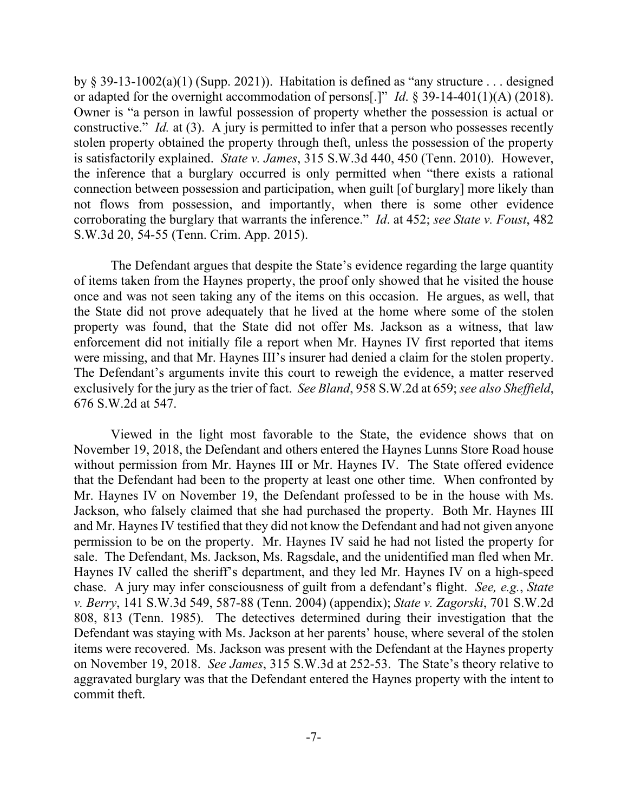by § 39-13-1002(a)(1) (Supp. 2021)). Habitation is defined as "any structure . . . designed or adapted for the overnight accommodation of persons[.]" *Id*. § 39-14-401(1)(A) (2018). Owner is "a person in lawful possession of property whether the possession is actual or constructive." *Id.* at (3). A jury is permitted to infer that a person who possesses recently stolen property obtained the property through theft, unless the possession of the property is satisfactorily explained. *State v. James*, 315 S.W.3d 440, 450 (Tenn. 2010). However, the inference that a burglary occurred is only permitted when "there exists a rational connection between possession and participation, when guilt [of burglary] more likely than not flows from possession, and importantly, when there is some other evidence corroborating the burglary that warrants the inference." *Id*. at 452; *see State v. Foust*, 482 S.W.3d 20, 54-55 (Tenn. Crim. App. 2015).

The Defendant argues that despite the State's evidence regarding the large quantity of items taken from the Haynes property, the proof only showed that he visited the house once and was not seen taking any of the items on this occasion. He argues, as well, that the State did not prove adequately that he lived at the home where some of the stolen property was found, that the State did not offer Ms. Jackson as a witness, that law enforcement did not initially file a report when Mr. Haynes IV first reported that items were missing, and that Mr. Haynes III's insurer had denied a claim for the stolen property. The Defendant's arguments invite this court to reweigh the evidence, a matter reserved exclusively for the jury as the trier of fact. *See Bland*, 958 S.W.2d at 659; *see also Sheffield*, 676 S.W.2d at 547.

Viewed in the light most favorable to the State, the evidence shows that on November 19, 2018, the Defendant and others entered the Haynes Lunns Store Road house without permission from Mr. Haynes III or Mr. Haynes IV. The State offered evidence that the Defendant had been to the property at least one other time. When confronted by Mr. Haynes IV on November 19, the Defendant professed to be in the house with Ms. Jackson, who falsely claimed that she had purchased the property. Both Mr. Haynes III and Mr. Haynes IV testified that they did not know the Defendant and had not given anyone permission to be on the property. Mr. Haynes IV said he had not listed the property for sale. The Defendant, Ms. Jackson, Ms. Ragsdale, and the unidentified man fled when Mr. Haynes IV called the sheriff's department, and they led Mr. Haynes IV on a high-speed chase. A jury may infer consciousness of guilt from a defendant's flight. *See, e.g.*, *State v. Berry*, 141 S.W.3d 549, 587-88 (Tenn. 2004) (appendix); *State v. Zagorski*, 701 S.W.2d 808, 813 (Tenn. 1985). The detectives determined during their investigation that the Defendant was staying with Ms. Jackson at her parents' house, where several of the stolen items were recovered. Ms. Jackson was present with the Defendant at the Haynes property on November 19, 2018. *See James*, 315 S.W.3d at 252-53. The State's theory relative to aggravated burglary was that the Defendant entered the Haynes property with the intent to commit theft.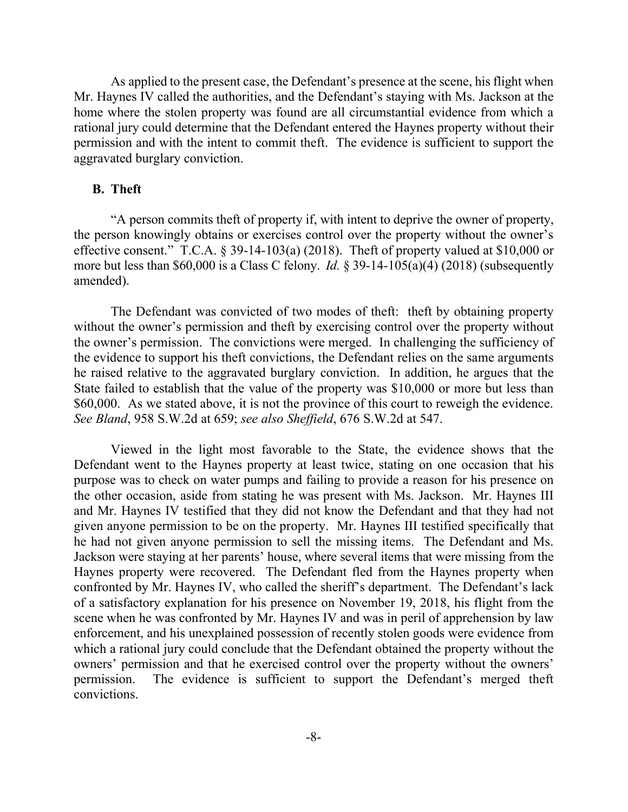As applied to the present case, the Defendant's presence at the scene, his flight when Mr. Haynes IV called the authorities, and the Defendant's staying with Ms. Jackson at the home where the stolen property was found are all circumstantial evidence from which a rational jury could determine that the Defendant entered the Haynes property without their permission and with the intent to commit theft. The evidence is sufficient to support the aggravated burglary conviction.

#### **B. Theft**

"A person commits theft of property if, with intent to deprive the owner of property, the person knowingly obtains or exercises control over the property without the owner's effective consent." T.C.A.  $\S$  39-14-103(a) (2018). The ft of property valued at \$10,000 or more but less than \$60,000 is a Class C felony. *Id.* § 39-14-105(a)(4) (2018) (subsequently amended).

The Defendant was convicted of two modes of theft: theft by obtaining property without the owner's permission and theft by exercising control over the property without the owner's permission. The convictions were merged. In challenging the sufficiency of the evidence to support his theft convictions, the Defendant relies on the same arguments he raised relative to the aggravated burglary conviction. In addition, he argues that the State failed to establish that the value of the property was \$10,000 or more but less than \$60,000. As we stated above, it is not the province of this court to reweigh the evidence. *See Bland*, 958 S.W.2d at 659; *see also Sheffield*, 676 S.W.2d at 547.

Viewed in the light most favorable to the State, the evidence shows that the Defendant went to the Haynes property at least twice, stating on one occasion that his purpose was to check on water pumps and failing to provide a reason for his presence on the other occasion, aside from stating he was present with Ms. Jackson. Mr. Haynes III and Mr. Haynes IV testified that they did not know the Defendant and that they had not given anyone permission to be on the property. Mr. Haynes III testified specifically that he had not given anyone permission to sell the missing items. The Defendant and Ms. Jackson were staying at her parents' house, where several items that were missing from the Haynes property were recovered. The Defendant fled from the Haynes property when confronted by Mr. Haynes IV, who called the sheriff's department. The Defendant's lack of a satisfactory explanation for his presence on November 19, 2018, his flight from the scene when he was confronted by Mr. Haynes IV and was in peril of apprehension by law enforcement, and his unexplained possession of recently stolen goods were evidence from which a rational jury could conclude that the Defendant obtained the property without the owners' permission and that he exercised control over the property without the owners' permission. The evidence is sufficient to support the Defendant's merged theft convictions.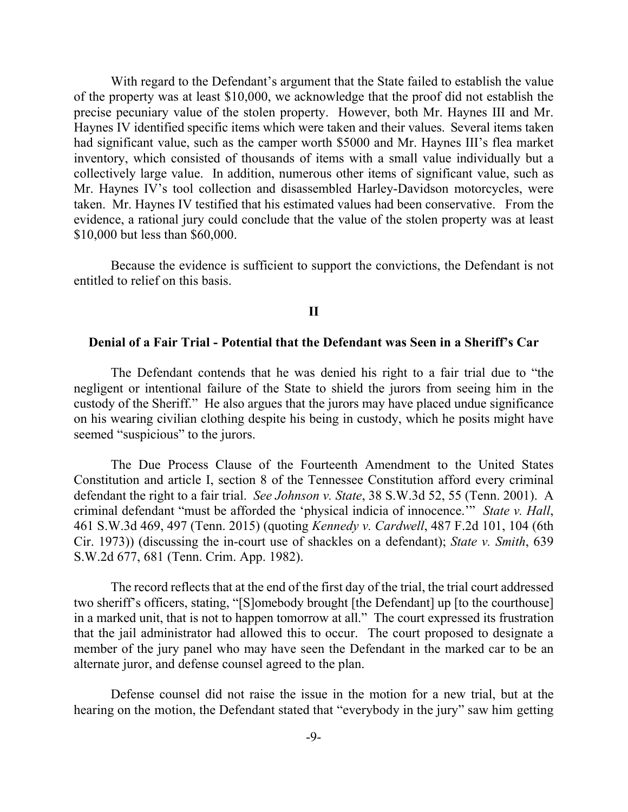With regard to the Defendant's argument that the State failed to establish the value of the property was at least \$10,000, we acknowledge that the proof did not establish the precise pecuniary value of the stolen property. However, both Mr. Haynes III and Mr. Haynes IV identified specific items which were taken and their values. Several items taken had significant value, such as the camper worth \$5000 and Mr. Haynes III's flea market inventory, which consisted of thousands of items with a small value individually but a collectively large value. In addition, numerous other items of significant value, such as Mr. Haynes IV's tool collection and disassembled Harley-Davidson motorcycles, were taken. Mr. Haynes IV testified that his estimated values had been conservative. From the evidence, a rational jury could conclude that the value of the stolen property was at least \$10,000 but less than \$60,000.

Because the evidence is sufficient to support the convictions, the Defendant is not entitled to relief on this basis.

### **II**

#### **Denial of a Fair Trial - Potential that the Defendant was Seen in a Sheriff's Car**

The Defendant contends that he was denied his right to a fair trial due to "the negligent or intentional failure of the State to shield the jurors from seeing him in the custody of the Sheriff." He also argues that the jurors may have placed undue significance on his wearing civilian clothing despite his being in custody, which he posits might have seemed "suspicious" to the jurors.

The Due Process Clause of the Fourteenth Amendment to the United States Constitution and article I, section 8 of the Tennessee Constitution afford every criminal defendant the right to a fair trial. *See Johnson v. State*, 38 S.W.3d 52, 55 (Tenn. 2001). A criminal defendant "must be afforded the 'physical indicia of innocence.'" *State v. Hall*, 461 S.W.3d 469, 497 (Tenn. 2015) (quoting *Kennedy v. Cardwell*, 487 F.2d 101, 104 (6th Cir. 1973)) (discussing the in-court use of shackles on a defendant); *State v. Smith*, 639 S.W.2d 677, 681 (Tenn. Crim. App. 1982).

The record reflects that at the end of the first day of the trial, the trial court addressed two sheriff's officers, stating, "[S]omebody brought [the Defendant] up [to the courthouse] in a marked unit, that is not to happen tomorrow at all." The court expressed its frustration that the jail administrator had allowed this to occur. The court proposed to designate a member of the jury panel who may have seen the Defendant in the marked car to be an alternate juror, and defense counsel agreed to the plan.

Defense counsel did not raise the issue in the motion for a new trial, but at the hearing on the motion, the Defendant stated that "everybody in the jury" saw him getting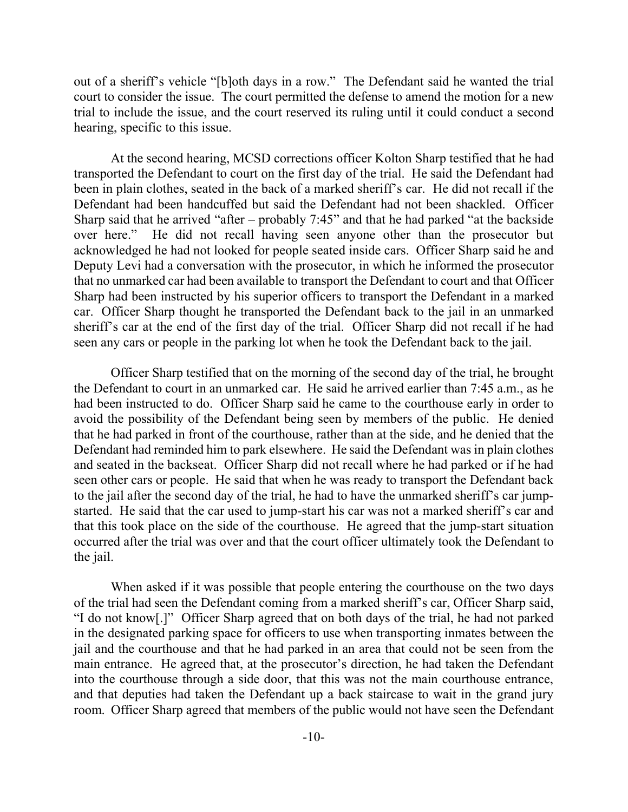out of a sheriff's vehicle "[b]oth days in a row." The Defendant said he wanted the trial court to consider the issue. The court permitted the defense to amend the motion for a new trial to include the issue, and the court reserved its ruling until it could conduct a second hearing, specific to this issue.

At the second hearing, MCSD corrections officer Kolton Sharp testified that he had transported the Defendant to court on the first day of the trial. He said the Defendant had been in plain clothes, seated in the back of a marked sheriff's car. He did not recall if the Defendant had been handcuffed but said the Defendant had not been shackled. Officer Sharp said that he arrived "after – probably 7:45" and that he had parked "at the backside over here." He did not recall having seen anyone other than the prosecutor but acknowledged he had not looked for people seated inside cars. Officer Sharp said he and Deputy Levi had a conversation with the prosecutor, in which he informed the prosecutor that no unmarked car had been available to transport the Defendant to court and that Officer Sharp had been instructed by his superior officers to transport the Defendant in a marked car. Officer Sharp thought he transported the Defendant back to the jail in an unmarked sheriff's car at the end of the first day of the trial. Officer Sharp did not recall if he had seen any cars or people in the parking lot when he took the Defendant back to the jail.

Officer Sharp testified that on the morning of the second day of the trial, he brought the Defendant to court in an unmarked car. He said he arrived earlier than 7:45 a.m., as he had been instructed to do. Officer Sharp said he came to the courthouse early in order to avoid the possibility of the Defendant being seen by members of the public. He denied that he had parked in front of the courthouse, rather than at the side, and he denied that the Defendant had reminded him to park elsewhere. He said the Defendant was in plain clothes and seated in the backseat. Officer Sharp did not recall where he had parked or if he had seen other cars or people. He said that when he was ready to transport the Defendant back to the jail after the second day of the trial, he had to have the unmarked sheriff's car jumpstarted. He said that the car used to jump-start his car was not a marked sheriff's car and that this took place on the side of the courthouse. He agreed that the jump-start situation occurred after the trial was over and that the court officer ultimately took the Defendant to the jail.

When asked if it was possible that people entering the courthouse on the two days of the trial had seen the Defendant coming from a marked sheriff's car, Officer Sharp said, "I do not know[.]" Officer Sharp agreed that on both days of the trial, he had not parked in the designated parking space for officers to use when transporting inmates between the jail and the courthouse and that he had parked in an area that could not be seen from the main entrance. He agreed that, at the prosecutor's direction, he had taken the Defendant into the courthouse through a side door, that this was not the main courthouse entrance, and that deputies had taken the Defendant up a back staircase to wait in the grand jury room. Officer Sharp agreed that members of the public would not have seen the Defendant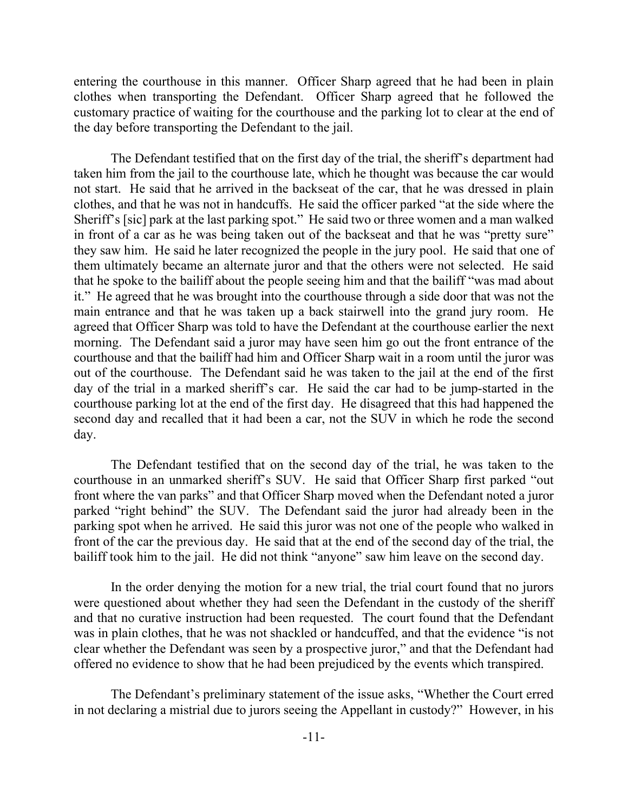entering the courthouse in this manner. Officer Sharp agreed that he had been in plain clothes when transporting the Defendant. Officer Sharp agreed that he followed the customary practice of waiting for the courthouse and the parking lot to clear at the end of the day before transporting the Defendant to the jail.

The Defendant testified that on the first day of the trial, the sheriff's department had taken him from the jail to the courthouse late, which he thought was because the car would not start. He said that he arrived in the backseat of the car, that he was dressed in plain clothes, and that he was not in handcuffs. He said the officer parked "at the side where the Sheriff's [sic] park at the last parking spot." He said two or three women and a man walked in front of a car as he was being taken out of the backseat and that he was "pretty sure" they saw him. He said he later recognized the people in the jury pool. He said that one of them ultimately became an alternate juror and that the others were not selected. He said that he spoke to the bailiff about the people seeing him and that the bailiff "was mad about it." He agreed that he was brought into the courthouse through a side door that was not the main entrance and that he was taken up a back stairwell into the grand jury room. He agreed that Officer Sharp was told to have the Defendant at the courthouse earlier the next morning. The Defendant said a juror may have seen him go out the front entrance of the courthouse and that the bailiff had him and Officer Sharp wait in a room until the juror was out of the courthouse. The Defendant said he was taken to the jail at the end of the first day of the trial in a marked sheriff's car. He said the car had to be jump-started in the courthouse parking lot at the end of the first day. He disagreed that this had happened the second day and recalled that it had been a car, not the SUV in which he rode the second day.

The Defendant testified that on the second day of the trial, he was taken to the courthouse in an unmarked sheriff's SUV. He said that Officer Sharp first parked "out front where the van parks" and that Officer Sharp moved when the Defendant noted a juror parked "right behind" the SUV. The Defendant said the juror had already been in the parking spot when he arrived. He said this juror was not one of the people who walked in front of the car the previous day. He said that at the end of the second day of the trial, the bailiff took him to the jail. He did not think "anyone" saw him leave on the second day.

In the order denying the motion for a new trial, the trial court found that no jurors were questioned about whether they had seen the Defendant in the custody of the sheriff and that no curative instruction had been requested. The court found that the Defendant was in plain clothes, that he was not shackled or handcuffed, and that the evidence "is not clear whether the Defendant was seen by a prospective juror," and that the Defendant had offered no evidence to show that he had been prejudiced by the events which transpired.

The Defendant's preliminary statement of the issue asks, "Whether the Court erred in not declaring a mistrial due to jurors seeing the Appellant in custody?" However, in his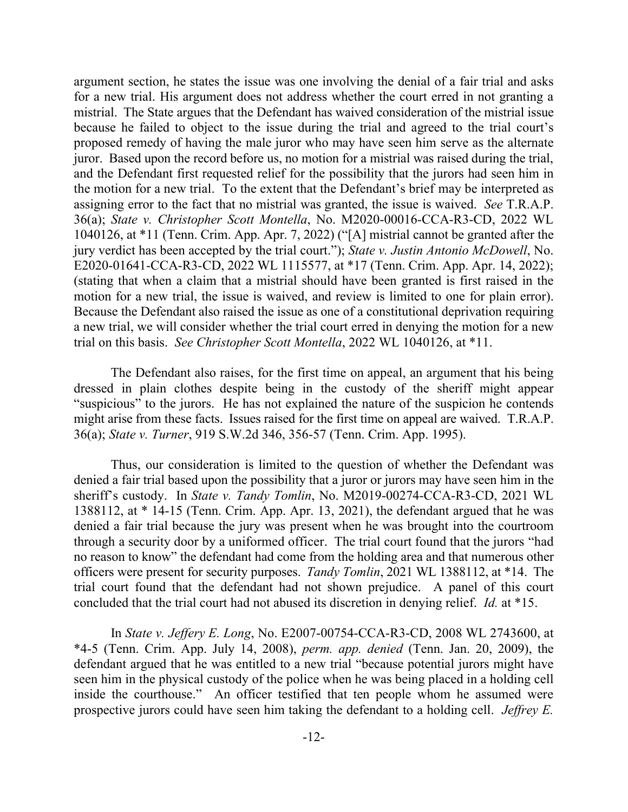argument section, he states the issue was one involving the denial of a fair trial and asks for a new trial. His argument does not address whether the court erred in not granting a mistrial. The State argues that the Defendant has waived consideration of the mistrial issue because he failed to object to the issue during the trial and agreed to the trial court's proposed remedy of having the male juror who may have seen him serve as the alternate juror. Based upon the record before us, no motion for a mistrial was raised during the trial, and the Defendant first requested relief for the possibility that the jurors had seen him in the motion for a new trial. To the extent that the Defendant's brief may be interpreted as assigning error to the fact that no mistrial was granted, the issue is waived. *See* T.R.A.P. 36(a); *State v. Christopher Scott Montella*, No. M2020-00016-CCA-R3-CD, 2022 WL 1040126, at \*11 (Tenn. Crim. App. Apr. 7, 2022) ("[A] mistrial cannot be granted after the jury verdict has been accepted by the trial court."); *State v. Justin Antonio McDowell*, No. E2020-01641-CCA-R3-CD, 2022 WL 1115577, at \*17 (Tenn. Crim. App. Apr. 14, 2022); (stating that when a claim that a mistrial should have been granted is first raised in the motion for a new trial, the issue is waived, and review is limited to one for plain error). Because the Defendant also raised the issue as one of a constitutional deprivation requiring a new trial, we will consider whether the trial court erred in denying the motion for a new trial on this basis. *See Christopher Scott Montella*, 2022 WL 1040126, at \*11.

The Defendant also raises, for the first time on appeal, an argument that his being dressed in plain clothes despite being in the custody of the sheriff might appear "suspicious" to the jurors. He has not explained the nature of the suspicion he contends might arise from these facts. Issues raised for the first time on appeal are waived. T.R.A.P. 36(a); *State v. Turner*, 919 S.W.2d 346, 356-57 (Tenn. Crim. App. 1995).

Thus, our consideration is limited to the question of whether the Defendant was denied a fair trial based upon the possibility that a juror or jurors may have seen him in the sheriff's custody. In *State v. Tandy Tomlin*, No. M2019-00274-CCA-R3-CD, 2021 WL 1388112, at \* 14-15 (Tenn. Crim. App. Apr. 13, 2021), the defendant argued that he was denied a fair trial because the jury was present when he was brought into the courtroom through a security door by a uniformed officer. The trial court found that the jurors "had no reason to know" the defendant had come from the holding area and that numerous other officers were present for security purposes. *Tandy Tomlin*, 2021 WL 1388112, at \*14. The trial court found that the defendant had not shown prejudice. A panel of this court concluded that the trial court had not abused its discretion in denying relief. *Id.* at \*15.

In *State v. Jeffery E. Long*, No. E2007-00754-CCA-R3-CD, 2008 WL 2743600, at \*4-5 (Tenn. Crim. App. July 14, 2008), *perm. app. denied* (Tenn. Jan. 20, 2009), the defendant argued that he was entitled to a new trial "because potential jurors might have seen him in the physical custody of the police when he was being placed in a holding cell inside the courthouse." An officer testified that ten people whom he assumed were prospective jurors could have seen him taking the defendant to a holding cell. *Jeffrey E.*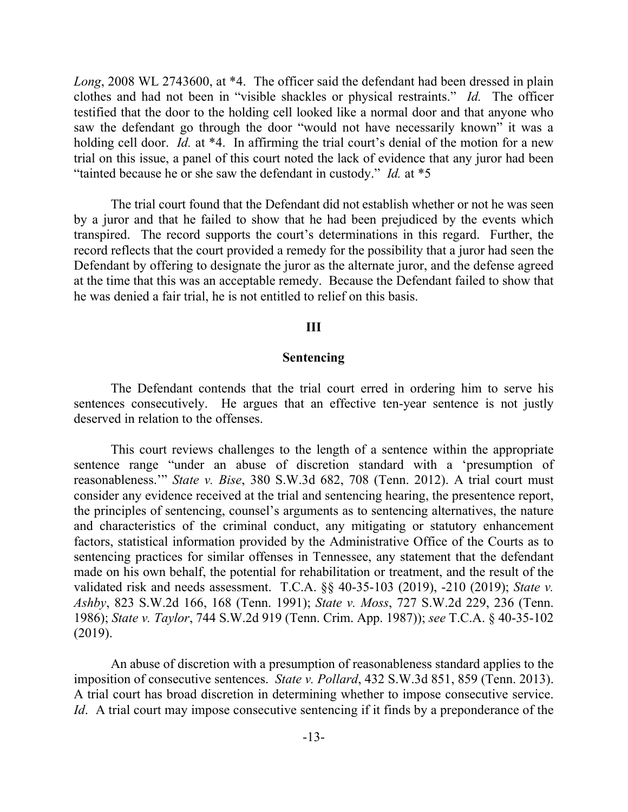Long, 2008 WL 2743600, at \*4. The officer said the defendant had been dressed in plain clothes and had not been in "visible shackles or physical restraints." *Id.* The officer testified that the door to the holding cell looked like a normal door and that anyone who saw the defendant go through the door "would not have necessarily known" it was a holding cell door. *Id.* at \*4. In affirming the trial court's denial of the motion for a new trial on this issue, a panel of this court noted the lack of evidence that any juror had been "tainted because he or she saw the defendant in custody." *Id.* at \*5

The trial court found that the Defendant did not establish whether or not he was seen by a juror and that he failed to show that he had been prejudiced by the events which transpired. The record supports the court's determinations in this regard. Further, the record reflects that the court provided a remedy for the possibility that a juror had seen the Defendant by offering to designate the juror as the alternate juror, and the defense agreed at the time that this was an acceptable remedy. Because the Defendant failed to show that he was denied a fair trial, he is not entitled to relief on this basis.

#### **III**

#### **Sentencing**

The Defendant contends that the trial court erred in ordering him to serve his sentences consecutively. He argues that an effective ten-year sentence is not justly deserved in relation to the offenses.

This court reviews challenges to the length of a sentence within the appropriate sentence range "under an abuse of discretion standard with a 'presumption of reasonableness.'" *State v. Bise*, 380 S.W.3d 682, 708 (Tenn. 2012). A trial court must consider any evidence received at the trial and sentencing hearing, the presentence report, the principles of sentencing, counsel's arguments as to sentencing alternatives, the nature and characteristics of the criminal conduct, any mitigating or statutory enhancement factors, statistical information provided by the Administrative Office of the Courts as to sentencing practices for similar offenses in Tennessee, any statement that the defendant made on his own behalf, the potential for rehabilitation or treatment, and the result of the validated risk and needs assessment. T.C.A. §§ 40-35-103 (2019), -210 (2019); *State v. Ashby*, 823 S.W.2d 166, 168 (Tenn. 1991); *State v. Moss*, 727 S.W.2d 229, 236 (Tenn. 1986); *State v. Taylor*, 744 S.W.2d 919 (Tenn. Crim. App. 1987)); *see* T.C.A. § 40-35-102 (2019).

An abuse of discretion with a presumption of reasonableness standard applies to the imposition of consecutive sentences. *State v. Pollard*, 432 S.W.3d 851, 859 (Tenn. 2013). A trial court has broad discretion in determining whether to impose consecutive service. *Id.* A trial court may impose consecutive sentencing if it finds by a preponderance of the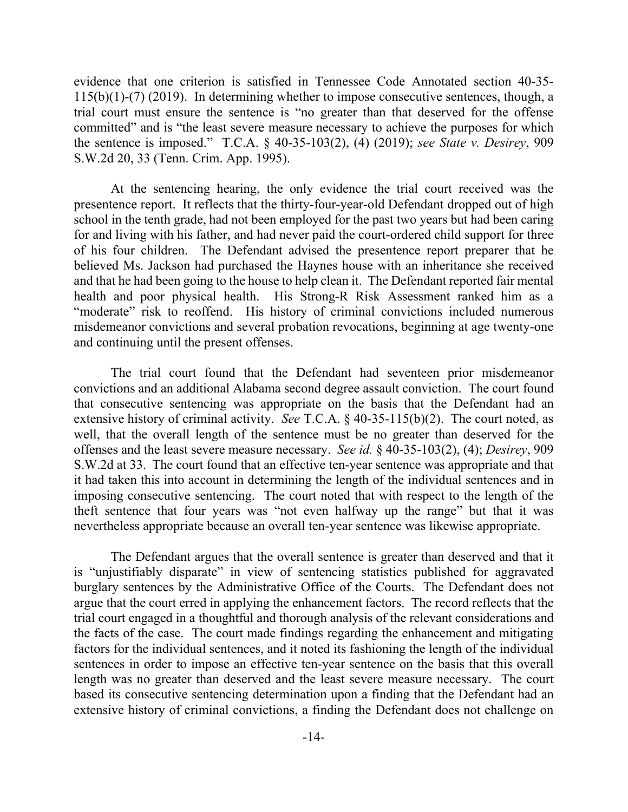evidence that one criterion is satisfied in Tennessee Code Annotated section 40-35- 115(b)(1)-(7) (2019). In determining whether to impose consecutive sentences, though, a trial court must ensure the sentence is "no greater than that deserved for the offense committed" and is "the least severe measure necessary to achieve the purposes for which the sentence is imposed." T.C.A. § 40-35-103(2), (4) (2019); *see State v. Desirey*, 909 S.W.2d 20, 33 (Tenn. Crim. App. 1995).

At the sentencing hearing, the only evidence the trial court received was the presentence report. It reflects that the thirty-four-year-old Defendant dropped out of high school in the tenth grade, had not been employed for the past two years but had been caring for and living with his father, and had never paid the court-ordered child support for three of his four children. The Defendant advised the presentence report preparer that he believed Ms. Jackson had purchased the Haynes house with an inheritance she received and that he had been going to the house to help clean it. The Defendant reported fair mental health and poor physical health. His Strong-R Risk Assessment ranked him as a "moderate" risk to reoffend. His history of criminal convictions included numerous misdemeanor convictions and several probation revocations, beginning at age twenty-one and continuing until the present offenses.

The trial court found that the Defendant had seventeen prior misdemeanor convictions and an additional Alabama second degree assault conviction. The court found that consecutive sentencing was appropriate on the basis that the Defendant had an extensive history of criminal activity. *See* T.C.A. § 40-35-115(b)(2). The court noted, as well, that the overall length of the sentence must be no greater than deserved for the offenses and the least severe measure necessary. *See id.* § 40-35-103(2), (4); *Desirey*, 909 S.W.2d at 33. The court found that an effective ten-year sentence was appropriate and that it had taken this into account in determining the length of the individual sentences and in imposing consecutive sentencing. The court noted that with respect to the length of the theft sentence that four years was "not even halfway up the range" but that it was nevertheless appropriate because an overall ten-year sentence was likewise appropriate.

The Defendant argues that the overall sentence is greater than deserved and that it is "unjustifiably disparate" in view of sentencing statistics published for aggravated burglary sentences by the Administrative Office of the Courts. The Defendant does not argue that the court erred in applying the enhancement factors. The record reflects that the trial court engaged in a thoughtful and thorough analysis of the relevant considerations and the facts of the case. The court made findings regarding the enhancement and mitigating factors for the individual sentences, and it noted its fashioning the length of the individual sentences in order to impose an effective ten-year sentence on the basis that this overall length was no greater than deserved and the least severe measure necessary. The court based its consecutive sentencing determination upon a finding that the Defendant had an extensive history of criminal convictions, a finding the Defendant does not challenge on